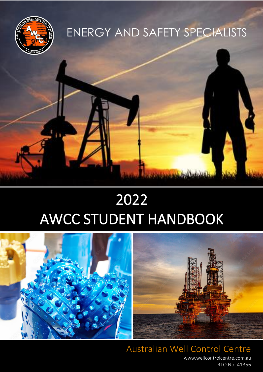

# ENERGY AND SAFETY SPECIALISTS





Australian Well Control Centre [www.wellcontrolcentre.com.au](http://www.wellcontrolcentre.com.au/) RTO No. 41356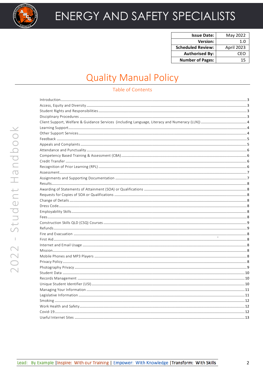

| <b>Issue Date:</b>       | May 2022   |
|--------------------------|------------|
| <b>Version:</b>          | 1.0        |
| <b>Scheduled Review:</b> | April 2023 |
| <b>Authorised By:</b>    | CFO        |
| <b>Number of Pages:</b>  | 15         |

# **Quality Manual Policy**

#### **Table of Contents**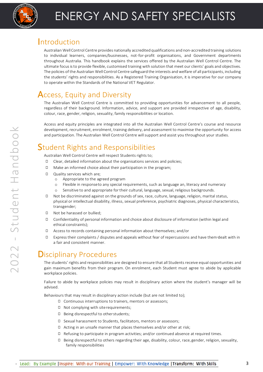

### <span id="page-2-0"></span>**Introduction**

troduction<br>Australian Well Control Centre provides nationally accredited qualifications and non-accredited training solutions to individual learners, companies/businesses, not-for-profit organisations, and Government departments throughout Australia. This handbook explains the services offered by the Australian Well Control Centre. The ultimate focus is to provide flexible, customised training with solution that meet our clients' goals and objectives. The policies of the Australian Well Control Centre safeguard the interests and welfare of all participants, including the students' rights and responsibilities. As a Registered Training Organisation, it is imperative for our company to operate within the Standards of the National VET Regulator.

### <span id="page-2-1"></span>Access, Equity and Diversity

The Australian Well Control Centre is committed to providing opportunities for advancement to all people, regardless of their background. Information, advice, and support are provided irrespective of age, disability, colour, race, gender, religion, sexuality, family responsibilities or location.

Access and equity principles are integrated into all the Australian Well Control Centre's course and resource development, recruitment, enrolment, training delivery, and assessment to maximise the opportunity for access and participation. The Australian Well Control Centre willsupport and assist you throughout your studies.

# <span id="page-2-2"></span>Student Rights and Responsibilities

Australian Well Control Centre will respect Students rights to;

- ◻ Clear, detailed information about the organisations services and policies;
- ◻ Make an informed choice about their participation in the program;
- ◻ Quality services which are;
	- o Appropriate to the agreed program
	- o Flexible in responseto any special requirements, such as language an, literacy and numeracy
	- o Sensitive to and appropriate for their cultural, language, sexual, religious backgrounds.
- ◻ Not be discriminated against on the grounds of sex, race, culture, language, religion, marital status, physical or intellectual disability, illness, sexual preference, psychiatric diagnoses, physical characteristics, transgender;
- ◻ Not be harassed or bullied;
- ◻ Confidentiality of personal information and choice about disclosure of information (within legal and ethical constraints);
- ◻ Access to records containing personal information about themselves; and/or
- ◻ Express their complaints / disputes and appeals without fear of repercussions and have them dealt with in a fair and consistent manner.

### <span id="page-2-3"></span>Disciplinary Procedures

The students' rights and responsibilities are designed to ensure that all Students receive equal opportunities and gain maximum benefits from their program. On enrolment, each Student must agree to abide by applicable workplace policies.

Failure to abide by workplace policies may result in disciplinary action where the student's manager will be advised.

Behaviours that may result in disciplinary action include (but are not limited to);

- ◻ Continuous interruptions to trainers, mentors or assessors;
- ◻ Not complying with siterequirements;
- ◻ Being disrespectful to otherstudents;
- ◻ Sexual harassment to Students, facilitators, mentors or assessors;
- ◻ Acting in an unsafe manner that places themselves and/or other at risk;
- ◻ Refusing to participate in program activities; and/or continued absence at required times.
- ◻ Being disrespectful to others regarding their age, disability, colour, race,gender, religion, sexuality, family responsibilities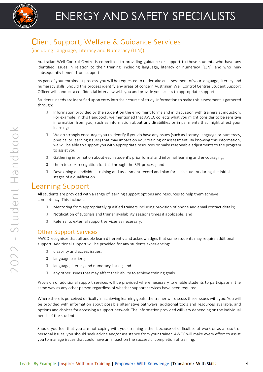### <span id="page-3-0"></span>Client Support, Welfare & Guidance Services

#### (including Language, Literacy and Numeracy (LLN))

Australian Well Control Centre is committed to providing guidance or support to those students who have any identified issues in relation to their training, including language, literacy or numeracy (LLN), and who may subsequently benefit from support.

As part of your enrolment process, you will be requested to undertake an assessment of your language, literacy and numeracy skills. Should this process identify any areas of concern Australian Well Control Centres Student Support Officer will conduct a confidential interview with you and provide you access to appropriate support.

Students' needs are identified upon entry into their course of study. Information to make this assessment is gathered through:

- ◻ Information provided by the student on the enrolment forms and in discussion with trainers at induction. For example, in this Handbook, we mentioned that AWCC collects what you might consider to be sensitive information from you, such as information about any disabilities or impairments that might affect your learning;
- ◻ We do strongly encourage you to identify if you do have any issues (such as literacy, language or numeracy, physical or learning issues) that may impact on your training or assessment. By knowing this information, we will be able to support you with appropriate resources or make reasonable adjustments to the program to assist you;
- ◻ Gathering information about each student's prior formal and informal learning and encouraging;
- ◻ them to seek recognition for this through the RPL process; and
- ◻ Developing an individual training and assessment record and plan for each student during the initial stages of a qualification.

#### <span id="page-3-1"></span>Learning Support

All students are provided with a range of learning support options and resources to help them achieve competency. This includes:

- ◻ Mentoring from appropriately qualified trainers including provision of phone and email contact details;
- ◻ Notification of tutorials and trainer availability sessions times if applicable; and
- ◻ Referral to external support services as necessary.

#### <span id="page-3-2"></span>Other Support Services

AWCC recognises that all people learn differently and acknowledges that some students may require additional support. Additional support will be provided for any students experiencing:

- ◻ disability and access issues;
- ◻ language barriers;
- ◻ language, literacy and numeracy issues; and
- ◻ any other issues that may affect their ability to achieve training goals.

Provision of additional support services will be provided where necessary to enable students to participate in the same way as any other person regardless of whether support services have been required.

Where there is perceived difficulty in achieving learning goals, the trainer will discuss these issues with you. You will be provided with information about possible alternative pathways, additional tools and resources available, and options and choices for accessing a support network. The information provided will vary depending on the individual needs of the student.

Should you feel that you are not coping with your training either because of difficulties at work or as a result of personal issues, you should seek advice and/or assistance from your trainer. AWCC will make every effort to assist you to manage issues that could have an impact on the successful completion of training.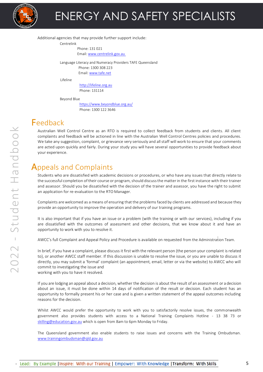

Additional agencies that may provide further support include:

Centrelink

Phone: 131 021 Email[: www.centrelink.gov.au](http://www.centrelink.gov.au/) 

Language Literacy and Numeracy Providers TAFE Queensland Phone: 1300 308 223 Email[: www.tafe.net](http://www.tafe.net/)

Lifeline

http:/[/lifeline.org.au](http://www.lifeline.org.au/) Phone: 131114

Beyond Blue

<https://www.beyondblue.org.au/> Phone: 1300 122 3646

### <span id="page-4-0"></span>Feedback

Australian Well Control Centre as an RTO is required to collect feedback from students and clients. All client complaints and feedback will be actioned in line with the Australian Well Control Centres policies and procedures. We take any suggestion, complaint, or grievance very seriously and all staff will work to ensure that your comments are acted upon quickly and fairly. During your study you will have several opportunities to provide feedback about your experience.

## <span id="page-4-1"></span>Appeals and Complaints

Students who are dissatisfied with academic decisions or procedures, or who have any issues that directly relate to the successful completion of their course or program, should discuss the matter in the first instance with their trainer and assessor. Should you be dissatisfied with the decision of the trainer and assessor, you have the right to submit an application for re-evaluation to the RTO Manager.

Complaints arewelcomed as a means of ensuring that the problems faced by clients are addressed and because they provide an opportunity to improve the operation and delivery of our training programs.

It is also important that if you have an issue or a problem (with the training or with our services), including if you are dissatisfied with the outcomes of assessment and other decisions, that we know about it and have an opportunity to work with you to resolve it.

AWCC's full Complaint and Appeal Policy and Procedure is available on requested from the Administration Team.

In brief, if you have a complaint, please discuss it first with the relevant person (the person your complaint isrelated to), or another AWCC staff member. If this discussion is unable to resolve the issue, or you are unable to discuss it directly, you may submit a 'formal' complaint (an appointment, email, letter or via the website) to AWCC who will commit to investigating the issue and

working with you to have it resolved.

If you are lodging an appeal about a decision, whether the decision is about the result of an assessment or a decision about an issue, it must be done within 14 days of notification of the result or decision. Each student has an opportunity to formally present his or her case and is given a written statement of the appeal outcomes including reasons for the decision.

Whilst AWCC would prefer the opportunity to work with you to satisfactorily resolve issues, the commonwealth government also provides students with access to a National Training Complaints Hotline - 13 38 73 or [skilling@education.gov.au](mailto:skilling@education.gov.au) which is open from 8am to 6pm Monday to Friday.

The Queensland government also enable students to raise issues and concerns with the Training Ombudsman. [www.trainingombudsman@qld.gov.au](http://www.trainingombudsman@qld.gov.au/)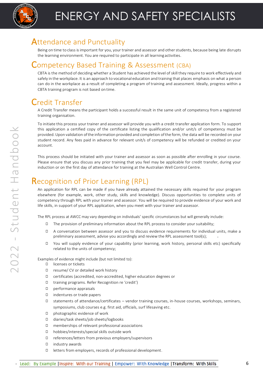

#### <span id="page-5-0"></span>Attendance and Punctuality

ttendance and Punctuality<br>Being on time to class is important for you, your trainer and assessor and other students, because being late disrupts the learning environment. You are required to participate in all learning activities.

#### <span id="page-5-1"></span>Competency Based Training & Assessment (CBA)

CBTA is the method of deciding whether a Student has achieved the level of skill they require to work effectively and safely in the workplace. It is an approach to vocational education and training that places emphasis on what a person can do in the workplace as a result of completing a program of training and assessment. Ideally, progress within a CBTA training program is not based on time.

## <span id="page-5-2"></span>Credit Transfer

A Credit Transfer means the participant holds a successful result in the same unit of competency from a registered training organisation.

To initiate this process your trainer and assessor will provide you with a credit transfer application form. To support this application a certified copy of the certificate listing the qualification and/or unit/s of competency must be provided.Upon validation ofthe information provided and completion ofthe form, the data will be recorded on your student record. Any fees paid in advance for relevant unit/s of competency will be refunded or credited on your account.

This process should be initiated with your trainer and assessor as soon as possible after enrolling in your course. Please ensure that you discuss any prior training that you feel may be applicable for credit transfer, during your induction or on the first day of attendance for training at the Australian Well Control Centre.

### <span id="page-5-3"></span>Recognition of Prior Learning (RPL)

An application for RPL can be made if you have already attained the necessary skills required for your program elsewhere (for example, work, other study, skills and knowledge). Discuss opportunities to complete units of competency through RPL with your trainer and assessor. You will be required to provide evidence of your work and life skills, in support of your RPL application, when you meet with your trainer and assessor.

The RPL process at AWCC may vary depending on individuals' specific circumstances but will generally include:

- ◻ The provision of preliminary information about the RPL process to consider your suitability;
- ◻ A conversation between assessor and you to discuss evidence requirements for individual units, make a preliminary assessment, advise you accordingly and review the RPL assessment tool(s);
- ◻ You will supply evidence of your capability (prior learning, work history, personal skills etc) specifically related to the units of competency;

Examples of evidence might include (but not limited to):

- ◻ licenses or tickets
- ◻ resume/ CV or detailed work history
- ◻ certificates (accredited, non-accredited, higher education degrees or
- ◻ training programs. Refer Recognition re 'credit')
- ◻ performance appraisals
- ◻ indentures or trade papers
- ◻ statements of attendance/certificates vendor training courses, in-house courses, workshops, seminars, symposiums, club courses e.g. first aid, officials, surf lifesaving etc.
- ◻ photographic evidence of work
- ◻ diaries/task sheets/job sheets/logbooks
- ◻ memberships of relevant professional associations
- ◻ hobbies/interests/special skills outside work
- ◻ references/letters from previous employers/supervisors
- ◻ industry awards
- ◻ letters from employers, records of professional development.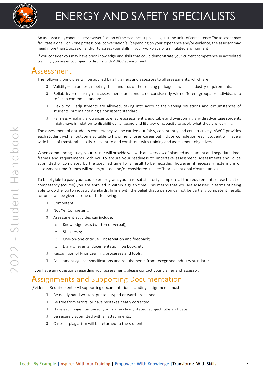

# ENERGY AND SAFETY SPECIALISTS

es<br>ses An assessor may conduct a review/verification of the evidence supplied against the units of competency The assessor may facilitate a one – on - one professional conversation(s) (depending on your experience and/or evidence, the assessor may need more than 1 occasion and/or to assess your skills in your workplace or a simulated environment)

If you consider you may have prior knowledge and skills that could demonstrate your current competence in accredited training, you are encouraged to discuss with AWCC at enrolment.

#### <span id="page-6-0"></span>Assessment

The following principles will be applied by all trainers and assessors to all assessments, which are:

- ◻ Validity a true test, meeting the standards of the training package as well as industry requirements.
- ◻ Reliability ensuring that assessments are conducted consistently with different groups or individuals to reflect a common standard.
- ◻ Flexibility adjustments are allowed, taking into account the varying situations and circumstances of students, but maintaining a consistent standard.
- ◻ Fairness making allowances to ensure assessment is equitable and overcoming any disadvantage students might have in relation to disabilities, language and literacy or capacity to apply what they are learning.

The assessment of a students competency will be carried out fairly, consistently and constructively. AWCC provides each student with an outcome suitable to his or her chosen career path. Upon completion, each Student will have a wide base of transferable skills, relevant to and consistent with training and assessment objectives.

When commencing study, your trainer will provide you with an overview of planned assessment and negotiate timeframes and requirements with you to ensure your readiness to undertake assessment. Assessments should be submitted or completed by the specified time for a result to be recorded, however, if necessary, extensions of assessment time-frames will be negotiated and/or considered in specific or exceptional circumstances.

To be eligible to pass your course or program, you must satisfactorily complete all the requirements of each unit of competency (course) you are enrolled in within a given time. This means that you are assessed in terms of being able to do the job to industry standards. In line with the belief that a person cannot be partially competent, results for units will be given as one of the following:

- ◻ Competent
- ◻ Not Yet Competent.
- ◻ Assessment activities can include:
	- o Knowledge tests (written or verbal);
	- o Skills tests;
	- o One-on-one critique observation and feedback;
	- o Diary of events, documentation, log book, etc.
- ◻ Recognition of Prior Learning processes and tools;
- ◻ Assessment against specifications and requirements from recognised industry standard;

<span id="page-6-1"></span>If you have any questions regarding your assessment, please contact your trainer and assessor.

#### Assignments and Supporting Documentation

(Evidence Requirements) All supporting documentation including assignments must:

- ◻ Be neatly hand written, printed, typed or word-processed.
- ◻ Be free from errors, or have mistakes neatly corrected.
- ◻ Have each page numbered, your name clearly stated, subject, title and date
- ◻ Be securely submitted with all attachments.
- ◻ Cases of plagiarism will be returned to the student.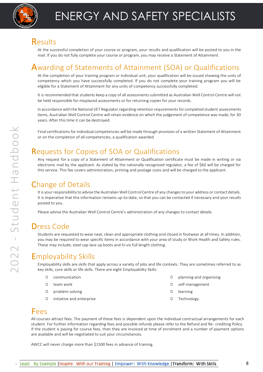

#### <span id="page-7-0"></span>**Results**

 $\mathsf{esu}$  lts<br>At the successful completion of your course or program, your results and qualification will be posted to you in the mail. If you do not fully complete your course or program, you may receive a Statement of Attainment.

### <span id="page-7-1"></span>Awarding of Statements of Attainment (SOA) or Qualifications

At the completion of your training program or individual unit, your qualification will be issued showing the units of competency which you have successfully completed. If you do not complete your training program you will be eligible for a Statement of Attainment for any units of competency successfully completed.

It is recommended that students keep a copy of all assessments submitted as Australian Well Control Centre will not be held responsible for misplaced assessments or for returning copies for your records.

In accordance with the National VET Regulator regarding retention requirements for completed student assessments items, Australian Well Control Centre will retain evidence on which the judgement of competence was made, for 30 years. After this time it can be destroyed.

Final certifications for individual competencies will be made through provision of a written Statement of Attainment or on the completion of all competencies, a qualification awarded

### <span id="page-7-2"></span>Requests for Copies of SOA or Qualifications

Any request for a copy of a Statement of Attainment or Qualification certificate must be made in writing or via electronic mail by the applicant. As stated by the nationally recognised regulator, a fee of \$60 will be charged for this service. This fee covers administration; printing and postage costs and will be charged to the applicant.

### <span id="page-7-3"></span>Change of Details

It is your responsibility to advise the Australian Well Control Centre of any changes to your address or contact details. It is imperative that this information remains up-to-date, so that you can be contacted if necessary and your results posted to you.

Please advise the Australian Well Control Centre's administration of any changes to contact details.

### <span id="page-7-4"></span>Dress Code

Students are requested to wear neat, clean and appropriate clothing and closed in footwear at all times. In addition, you may be required to wear specific items in accordance with your area of study or Work Health and Safety rules. These may include; steel cap lace up boots and hi-vis full length clothing.

### <span id="page-7-5"></span>Employability Skills

Employability skills are skills that apply across a variety of jobs and life contexts. They are sometimes referred to as key skills, core skills or life skills. There are eight Employability Skills:

- ◻ communication
- ◻ team work
- ◻ problem-solving
- ◻ initiative and enterprise
- ◻ planning and organising
- ◻ self-management
- ◻ learning
- ◻ Technology.

#### <span id="page-7-6"></span>Fees

All courses attract fees. The payment of these fees is dependent upon the individual contractual arrangements for each student. For further information regarding fees and possible refunds please refer to the Refund and Re- crediting Policy. If the student is paying for course fees, then they are invoiced at time of enrolment and a number of payment options are available and will be negotiated to suit your circumstances.

AWCC will never charge more than \$1500 fees in advance of training.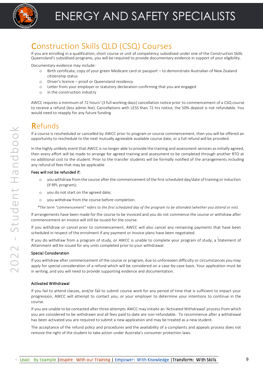

# <span id="page-8-0"></span>Construction Skills QLD (CSQ) Courses

If you are enrolling in a qualification, short course or unit of competency subsidised under one of the Construction Skills Queensland's subsidised programs, you will be required to provide documentary evidence in support of your eligibility.

Documentary evidence may include:

- o Birth certificate, copy of your green Medicare card or passport to demonstrate Australian of New Zealand citizenship status
- o Driver's licence proof or Queensland residency
- o Letter from your employer or statutory declaration confirming that you are engaged
- o in the construction industry

AWCC requires a minimum of 72 hours' (3 full working days) cancellation notice prior to commencement of a CSQ course to receive a refund (less admin fee). Cancellations with LESS than 72 hrs notice, the 50% deposit is not refundable. You would need to reapply for any future funding

### <span id="page-8-1"></span>Refunds

If a course is rescheduled or cancelled by AWCC prior to program or course commencement, then you will be offered an opportunity to reschedule to the next mutually agreeable available course date, or a full refund will be provided.

In the highly unlikely event that AWCC is no longer able to provide the training and assessment services as initially agreed, then every effort will be made to arrange for agreed training and assessment to be completed through another RTO at no additional cost to the student. Prior to the transfer students will be formally notified of the arrangements including any refund of fees that may be applicable

#### Fees will not be refunded if:

- o you withdraw from the course after the commencement of the first scheduled day/date of training or induction (if RPL program);
- o you do not start on the agreed date;
- o you withdraw from the course before completion.

*\*The term "commencement" refers to the first scheduled day of the program to be attended (whether you attend or not).*

If arrangements have been made for the course to be invoiced and you do not commence the course or withdraw after commencement an invoice will still be issued for the course.

If you withdraw or cancel prior to commencement, AWCC will also cancel any remaining payments that have been scheduled in respect of the enrolment if any payment or invoice plans have been negotiated.

If you do withdraw from a program of study, or AWCC is unable to complete your program of study, a Statement of Attainment will be issued for any units completed prior to your withdrawal.

#### Special Consideration

If you withdraw after commencement of the course or program, due to unforeseen difficulty or circumstances you may apply for special consideration of a refund which will be considered on a case-by-case basis. Your application must be in writing, and you will need to provide supporting evidence and documentation.

#### Activated Withdrawal

If you fail to attend classes, and/or fail to submit course work for any period of time that is sufficient to impact your progression, AWCC will attempt to contact you, or your employer to determine your intentions to continue in the course.

If you are unable to be contacted after three attempts AWCC may initiate an 'Activated Withdrawal' process from which you are considered to be withdrawn and all fees paid to date are non-refundable. To recommence after a withdrawal has been activated you are required to submit a new application and may be treated as a new student.

The acceptance of the refund policy and procedures and the availability of a complaints and appeals process does not remove the right of the student to take action under Australia's consumer protection laws.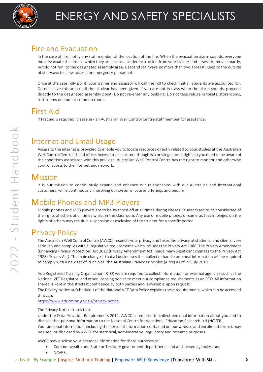

#### <span id="page-9-0"></span>Fire and Evacuation

In the case of fire, notify any staff member of the location of the fire. When the evacuation alarm sounds, everyone must evacuate the area in which they are located. Under instruction from your trainer and assessor, move smartly, but do not run, to the designated assembly area. Descend stairways no more than two abreast. Keep to the outside of stairways to allow access for emergency personnel.

Once at the assembly point, your trainer and assessor will call the roll to check that all students are accounted for. Do not leave this area until the all clear has been given. If you are not in class when the alarm sounds, proceed directly to the designated assembly point. Do not re-enter any building. Do not take refuge in toilets, storerooms, rest rooms or student common rooms.

## <span id="page-9-1"></span>First Aid

If first aid is required, please ask an Australian Well Control Centre staff member for assistance.

#### <span id="page-9-2"></span>Internet and Email Usage

Access to the internet is provided to enable you to locate resources directly related to your studies at the Australian Well Control Centre's head office. Accessto the internet though is a privilege, not a right, so you need to be aware of the conditions associated with this privilege. Australian Well Control Centre has the right to monitor and otherwise control access to the internet and network.

#### <span id="page-9-3"></span>**Mission**

It is our mission to continuously expand and enhance our relationships with our Australian and International customers, while continuously improving our systems, course offerings and people

### <span id="page-9-4"></span>Mobile Phones and MP3 Players

Mobile phones and MP3 players are to be switched off at all times during classes. Students are to be considerate of the rights of others at all times whilst in the classroom. Any use of mobile phones or cameras that impinges on the rights of others may result in suspension or exclusion of the student for a specific period.

### <span id="page-9-5"></span>Privacy Policy

The Australian Well Control Centre (AWCC) respects your privacy and takes the privacy of students, and clients, very seriously and complies with all legislative requirements which includes the Privacy Act 1988. The Privacy Amendment (Enhancing Privacy Protection) Act 2012 (Privacy Amendment Act) made many significant changes to the Privacy Act 1988 (Privacy Act). The main change is that all businesses that collect or handle personal information will be required to comply with a new set of Principles, the Australian Privacy Principles (APPs) as of 22 July 2019.

As a Registered Training Organisation (RTO) we are required to collect information for external agencies such as the National VET Regulator, and other licensing bodies to meet our compliance requirements as an RTO. All information shared is kept in the strictest confidence by both parties and is available upon request.

The Privacy Notice at Schedule 1 of the National VET Data Policy explains these requirements, which can be accessed through:

[https://www.education.gov.au/privacy-notice.](https://www.education.gov.au/privacy-notice)

#### The Privacy Notice states that:

Under the Data Provision Requirements 2012, AWCC is required to collect personal information about you and to disclose that personal information to the National Centre for Vocational Education Research Ltd (NCVER). Your personal information (including the personal information contained on our website and enrolment forms), may be used, or disclosed by AWCC for statistical, administrative, regulatory and research purposes.

AWCC may disclose your personal information for these purposes to:

- Commonwealth and State or Territory government departments and authorised agencies; and
- NCVER.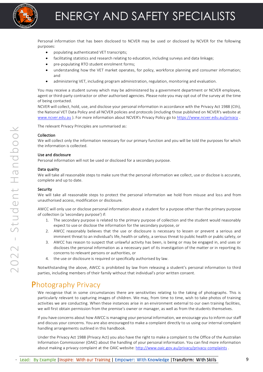

Personal information that has been disclosed to NCVER may be used or disclosed by NCVER for the following<br>purposes: purposes:

- populating authenticated VET transcripts;
- facilitating statistics and research relating to education, including surveys and data linkage;
- pre-populating RTO student enrolment forms;
- understanding how the VET market operates, for policy, workforce planning and consumer information; and
- administering VET, including program administration, regulation, monitoring and evaluation.

You may receive a student survey which may be administered by a government department or NCVER employee, agent or third-party contractor or other authorised agencies. Please note you may opt out of the survey at the time of being contacted.

NCVER will collect, hold, use, and disclose your personal information in accordance with the Privacy Act 1988 (Cth), the National VET Data Policy and all NCVER policies and protocols (including those published on NCVER's website at [www.ncver.edu.au](http://www.ncver.edu.au/) ). For more information about NCVER's Privacy Policy go to<https://www.ncver.edu.au/privacy> .

The relevant Privacy Principles are summarised as:

#### Collection

We will collect only the information necessary for our primary function and you will be told the purposes for which the information is collected.

#### Use and disclosure

Personal information will not be used or disclosed for a secondary purpose.

#### Data quality

We will take all reasonable steps to make sure that the personal information we collect, use or disclose is accurate, complete and up to date.

#### Security

We will take all reasonable steps to protect the personal information we hold from misuse and loss and from unauthorised access, modification or disclosure.

AWCC will only use or disclose personal information about a student for a purpose other than the primary purpose of collection (a 'secondary purpose') if:

- 1. The secondary purpose is related to the primary purpose of collection and the student would reasonably expect to use or disclose the information for the secondary purpose, or
- 2. AWCC reasonably believes that the use or disclosure is necessary to lessen or prevent a serious and imminent threat to an individual's life, health or safety, a serious threat to public health or public safety, or
- 3. AWCC has reason to suspect that unlawful activity has been, is being or may be engaged in, and uses or discloses the personal information as a necessary part of its investigation of the matter or in reporting its concerns to relevant persons or authorities, or
- 4. the use or disclosure is required or specifically authorised by law.

Notwithstanding the above, AWCC is prohibited by law from releasing a student's personal information to third parties, including members of their family without that individual's prior written consent.

#### <span id="page-10-0"></span>Photography Privacy

We recognise that in some circumstances there are sensitivities relating to the taking of photographs. This is particularly relevant to capturing images of children. We may, from time to time, wish to take photos of training activities we are conducting. When these instances arise in an environment external to our own training facilities, we will first obtain permission from the premise's owner or manager, as well as from the students themselves.

If you have concerns about how AWCC is managing your personal information, we encourage you to inform our staff and discuss your concerns. You are also encouraged to make a complaint directly to us using our internal complaint handling arrangements outlined in this handbook.

Under the Privacy Act 1988 (Privacy Act) you also have the right to make a complaint to the Office of the Australian Information Commissioner (OAIC) about the handling of your personal information. You can find more information about making a privacy complaint at the OAIC website[: http://www.oaic.gov.au/privacy/privacy-complaints](http://www.oaic.gov.au/privacy/privacy-complaints) .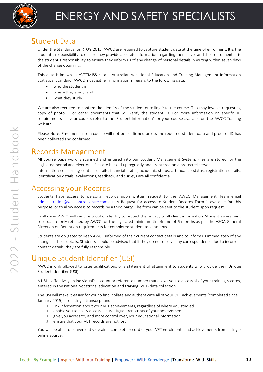

#### <span id="page-11-0"></span>Student Data

 $\mathop{\cup}\mathop{\rm dcl}\nolimits$   $\mathop{\rm dcl}\nolimits$   $\mathop{\rm D}{\rm d}$   $\mathop{\rm dcl}\nolimits$ <br>Under the Standards for RTO's 2015, AWCC are required to capture student data at the time of enrolment. It is the student's responsibility to ensure they provide accurate information regarding themselves and their enrolment. It is the student's responsibility to ensure they inform us of any change of personal details in writing within seven days of the change occurring.

This data is known as AVETMISS data – Australian Vocational Education and Training Management Information Statistical Standard. AWCC must gather information in regard to the following data:

- who the student is,
- where they study, and
- what they study.

We are also required to confirm the identity of the student enrolling into the course. This may involve requesting copy of photo ID or other documents that will verify the student ID. For more information on specific ID requirements for your course, refer to the 'Student Information' for your course available on the AWCC Training website.

Please Note: Enrolment into a course will not be confirmed unless the required student data and proof of ID has been collected and confirmed.

#### <span id="page-11-1"></span>Records Management

All course paperwork is scanned and entered into our Student Management System. Files are stored for the legislated period and electronic files are backed up regularly and are stored on a protected server. Information concerning contact details, financial status, academic status, attendance status, registration details, identification details, evaluations, feedback, and surveys are all confidential.

#### Accessing your Records

Students have access to personal records upon written request to the AWCC Management Team email [administration@wellcontrolcentre.com.au](mailto:administration@wellcontrolcentre.com.au) A Request for access to Student Records Form is available for this purpose, or to allow access to records by a third party. The form can be sent to the student upon request.

In all cases AWCC will require proof of identity to protect the privacy of all client information. Student assessment records are only retained by AWCC for the legislated minimum timeframe of 6 months as per the ASQA General Direction on Retention requirements for completed student assessments.

Students are obligated to keep AWCC informed of their current contact details and to inform us immediately of any change in these details. Students should be advised that if they do not receive any correspondence due to incorrect contact details, they are fully responsible.

## <span id="page-11-2"></span>Unique Student Identifier (USI)

AWCC is only allowed to issue qualifications or a statement of attainment to students who provide their Unique Student Identifier (USI).

A USI is effectively an individual's account or reference number that allows you to access all of your training records, entered in the national vocational education and training (VET) data collection.

The USI will make it easier for you to find, collate and authenticate all of your VET achievements (completed since 1 January 2015) into a single transcript and:

- ◻ link information about your VET achievements, regardless of where you studied
- ◻ enable you to easily access secure digital transcripts of your achievements
- ◻ give you access to, and more control over, your educational information
- ◻ ensure that your VET records are not lost

You will be able to conveniently obtain a complete record of your VET enrolments and achievements from a single online source.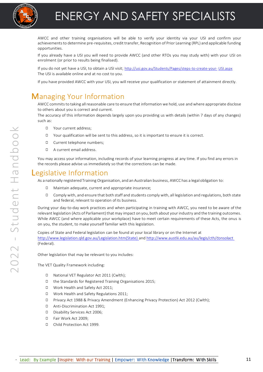

# ENERGY AND SAFETY SPECIALISTS

AWCC and other training organisations will be able to verliy your identity via your USI and conflirm your<br>achievements to determine pre-requisites, credit transfer, Recognition of Prior Learning (RPL) and applicable fundin AWCC and other training organisations will be able to verify your identity via your USI and confirm your opportunities.

If you already have a USI you will need to provide AWCC (and other RTOs you may study with) with your USI on enrolment (or prior to results being finalised).

If you do not yet have a USI, to obtain a USI visit; [http://usi.gov.au/Students/Pages/steps-to-create-your-](http://usi.gov.au/Students/Pages/steps-to-create-your-USI.aspx) [USI.aspx](http://usi.gov.au/Students/Pages/steps-to-create-your-USI.aspx) The USI is available online and at no cost to you.

If you have provided AWCC with your USI, you will receive your qualification or statement of attainment directly.

#### <span id="page-12-0"></span>Managing Your Information

AWCC commits to taking all reasonable care to ensure that information we hold, use and where appropriate disclose to others about you is correct and current.

The accuracy of this information depends largely upon you providing us with details (within 7 days of any changes) such as:

- ◻ Your current address;
- ◻ Your qualification will be sent to this address, so it is important to ensure it is correct.
- ◻ Current telephone numbers;
- ◻ A current email address.

You may access your information, including records of your learning progress at any time. If you find any errors in the records please advise us immediately so that the corrections can be made.

#### <span id="page-12-1"></span>Legislative Information

As a nationally registered Training Organisation, and an Australian business, AWCC has a legal obligation to:

- ◻ Maintain adequate, current and appropriate insurance;
- ◻ Comply with, and ensure that both staff and students comply with, all legislation and regulations, both state and federal, relevant to operation of its business.

During your day-to-day work practices and when participating in training with AWCC, you need to be aware of the relevant legislation (Acts of Parliament) that may impact on you, both about your industry and the training outcomes. While AWCC (and where applicable your workplace) have to meet certain requirements of these Acts, the onus is on you, the student, to make yourself familiar with this legislation.

Copies of State and Federal legislation can be found at your local library or on the Internet at [http://www.legislation.qld.gov.au/Legislation.htm\(State\) a](http://www.legislation.qld.gov.au/Legislation.htm(State))n[d http://www.austlii.edu.au/au/legis/cth/consolact](http://www.austlii.edu.au/au/legis/cth/consol_act)  (Federal).

Other legislation that may be relevant to you includes:

The VET Quality Framework including:

- ◻ National VET Regulator Act 2011 (Cwlth);
- ◻ the Standards for Registered Training Organisations 2015;
- ◻ Work Health and Safety Act 2011;
- ◻ Work Health and Safety Regulations 2011;
- ◻ Privacy Act 1988 & Privacy Amendment (Enhancing Privacy Protection) Act 2012 (Cwlth);
- ◻ Anti-Discrimination Act 1991;
- ◻ Disability Services Act 2006;
- ◻ Fair Work Act 2009;
- ◻ Child Protection Act 1999.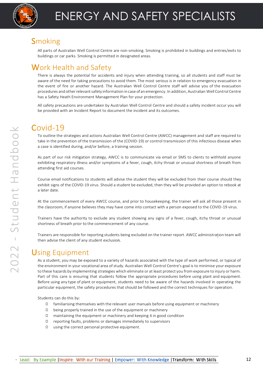

#### <span id="page-13-0"></span>**Smoking**

<code>noking</code><br>All parts of Australian Well Control Centre are non-smoking. Smoking is prohibited in buildings and entries/exits to buildings or car parks. Smoking is permitted in designated areas.

#### <span id="page-13-1"></span>Work Health and Safety

There is always the potential for accidents and injury when attending training, so all students and staff must be aware of the need for taking precautions to avoid them. The most serious is in relation to emergency evacuation in the event of fire or another hazard. The Australian Well Control Centre staff will advise you of the evacuation procedures and other relevant safety information in case of an emergency. In addition, Australian Well Control Centre has a Safety Heath Environment Management Plan for your protection.

All safety precautions are undertaken by Australian Well Control Centre and should a safety incident occur you will be provided with an Incident Report to document the incident and its outcomes.

### Covid-19

To outline the strategies and actions Australian Well Control Centre (AWCC) management and staff are required to take in the prevention of the transmission of the (COVID-19) or control transmission of this infectious disease when a case is identified during, and/or before, a training session.

As part of our risk mitigation strategy, AWCC is to communicate via email or SMS to clients to withhold anyone exhibiting respiratory illness and/or symptoms of a fever, cough, itchy throat or unusual shortness of breath from attending first aid courses.

Course email notifications to students will advise the student they will be excluded from their course should they exhibit signs of the COVID-19 virus. Should a student be excluded, then they will be provided an option to rebook at a later date.

At the commencement of every AWCC course, and prior to housekeeping, the trainer will ask all those present in the classroom, if anyone believes they may have come into contact with a person exposed to the COVID-19 virus.

Trainers have the authority to exclude any student showing any signs of a fever, cough, itchy throat or unusual shortness of breath prior to the commencement of any course.

Trainers are responsible for reporting students being excluded on the trainer report. AWCC administration team will then advise the client of any student exclusion.

#### Using Equipment

As a student, you may be exposed to a variety of hazards associated with the type of work performed, or typical of the environment in your vocational area of study. Australian Well Control Centre's goal is to minimise your exposure to these hazards by implementing strategies which eliminate or at least protect you from exposure to injury or harm. Part of this care is ensuring that students follow the appropriate procedures before using plant and equipment. Before using any type of plant or equipment, students need to be aware of the hazards involved in operating the particular equipment, the safety procedures that should be followed and the correct techniques for operation.

Students can do this by:

- ◻ familiarising themselves with the relevant user manuals before using equipment or machinery
- ◻ being properly trained in the use of the equipment or machinery
- ◻ maintaining the equipment or machinery and keeping it in good condition
- ◻ reporting faults, problems or damages immediately to supervisors
- ◻ using the correct personal protective equipment.

 $\mathrel{\curvearrowright}$ 

<span id="page-13-2"></span>Student Handbook